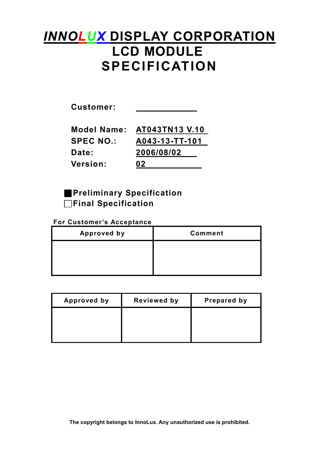# **INNOLUX DISPLAY CORPORATION** LCD MODULE SPECIFICATION

| <b>Model Name:</b> | AT043TN13 V.10 |
|--------------------|----------------|
| <b>SPEC NO.:</b>   | A043-13-TT-101 |
| Date:              | 2006/08/02     |
| <b>Version:</b>    | 02             |

**Preliminary Specification** □Final Specification

### For Customer's Acceptance

| <b>Approved by</b> | <b>Comment</b> |
|--------------------|----------------|
|                    |                |
|                    |                |
|                    |                |

| <b>Approved by</b> | <b>Reviewed by</b> | Prepared by |
|--------------------|--------------------|-------------|
|                    |                    |             |
|                    |                    |             |
|                    |                    |             |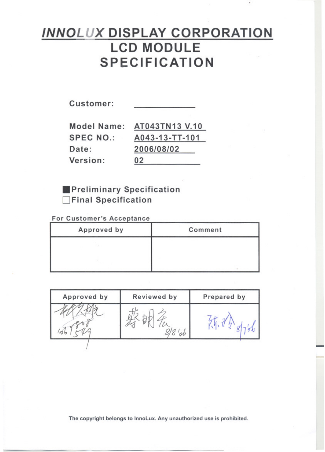# **INNOLUX DISPLAY CORPORATION LCD MODULE SPECIFICATION**

Customer:

**SPEC NO.:** Date: Version:

Model Name: AT043TN13 V.10 A043-13-TT-101 2006/08/02  $02$ 

**Preliminary Specification** Final Specification

For Customer's Acceptance

| Approved by | Comment |
|-------------|---------|
|             |         |
|             |         |
|             |         |

| Approved by | Reviewed by | Prepared by |
|-------------|-------------|-------------|
|             |             |             |
|             |             |             |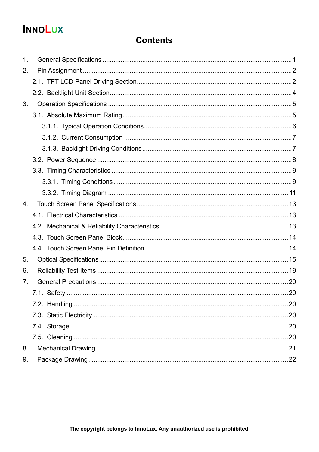# **INNOLUX**

### **Contents**

| 1.             |  |
|----------------|--|
| 2.             |  |
|                |  |
|                |  |
| 3.             |  |
|                |  |
|                |  |
|                |  |
|                |  |
|                |  |
|                |  |
|                |  |
|                |  |
| 4 <sub>1</sub> |  |
|                |  |
|                |  |
|                |  |
|                |  |
| 5.             |  |
| 6.             |  |
| 7 <sub>1</sub> |  |
|                |  |
|                |  |
|                |  |
|                |  |
|                |  |
| 8.             |  |
| 9.             |  |
|                |  |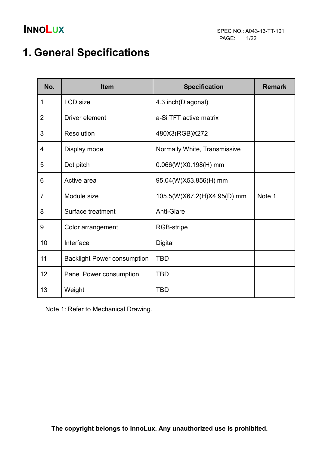# 1. General Specifications

| No.            | <b>Item</b>                        | <b>Specification</b>         | <b>Remark</b> |
|----------------|------------------------------------|------------------------------|---------------|
| 1              | <b>LCD</b> size                    | 4.3 inch(Diagonal)           |               |
| 2              | Driver element                     | a-Si TFT active matrix       |               |
| 3              | Resolution                         | 480X3(RGB)X272               |               |
| 4              | Display mode                       | Normally White, Transmissive |               |
| 5              | Dot pitch                          | $0.066(W)X0.198(H)$ mm       |               |
| 6              | Active area                        | 95.04(W)X53.856(H) mm        |               |
| $\overline{7}$ | Module size                        | 105.5(W)X67.2(H)X4.95(D) mm  | Note 1        |
| 8              | Surface treatment                  | <b>Anti-Glare</b>            |               |
| 9              | Color arrangement                  | RGB-stripe                   |               |
| 10             | Interface                          | Digital                      |               |
| 11             | <b>Backlight Power consumption</b> | <b>TBD</b>                   |               |
| 12             | Panel Power consumption            | <b>TBD</b>                   |               |
| 13             | Weight                             | <b>TBD</b>                   |               |

Note 1: Refer to Mechanical Drawing.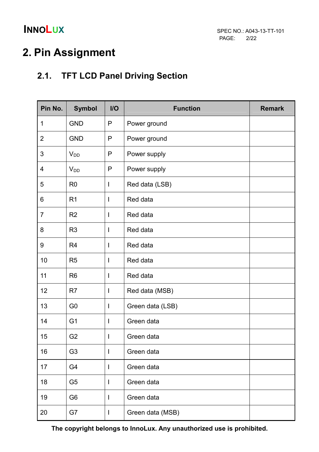# 2. Pin Assignment

## 2.1. TFT LCD Panel Driving Section

| Pin No.        | <b>Symbol</b>  | $II$         | <b>Function</b>  | <b>Remark</b> |
|----------------|----------------|--------------|------------------|---------------|
| 1              | <b>GND</b>     | P            | Power ground     |               |
| $\overline{2}$ | <b>GND</b>     | P            | Power ground     |               |
| 3              | $V_{DD}$       | P            | Power supply     |               |
| $\overline{4}$ | $V_{DD}$       | $\mathsf{P}$ | Power supply     |               |
| 5              | R <sub>0</sub> | I            | Red data (LSB)   |               |
| 6              | R <sub>1</sub> | I            | Red data         |               |
| $\overline{7}$ | R <sub>2</sub> | I            | Red data         |               |
| 8              | R <sub>3</sub> | I            | Red data         |               |
| 9              | R <sub>4</sub> | I            | Red data         |               |
| 10             | R <sub>5</sub> | I            | Red data         |               |
| 11             | R <sub>6</sub> | $\mathsf{I}$ | Red data         |               |
| 12             | R <sub>7</sub> | I            | Red data (MSB)   |               |
| 13             | G <sub>0</sub> | I            | Green data (LSB) |               |
| 14             | G <sub>1</sub> | I            | Green data       |               |
| 15             | G <sub>2</sub> | I            | Green data       |               |
| 16             | G <sub>3</sub> | I            | Green data       |               |
| 17             | G4             | I            | Green data       |               |
| 18             | G <sub>5</sub> | I            | Green data       |               |
| 19             | G <sub>6</sub> | I            | Green data       |               |
| 20             | G7             | $\mathsf{l}$ | Green data (MSB) |               |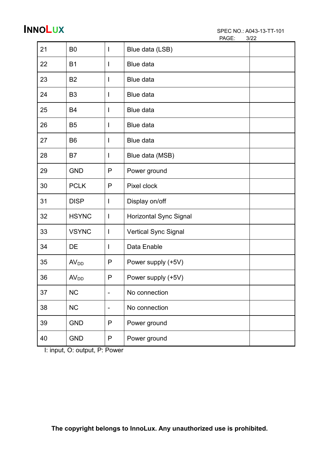| PAGE: | 3/22 |
|-------|------|
|       |      |

| 21 | B <sub>0</sub>   | I                            | Blue data (LSB)             |  |
|----|------------------|------------------------------|-----------------------------|--|
| 22 | <b>B1</b>        | I                            | Blue data                   |  |
| 23 | B <sub>2</sub>   | I                            | Blue data                   |  |
| 24 | B <sub>3</sub>   | I                            | Blue data                   |  |
| 25 | B4               | I                            | Blue data                   |  |
| 26 | B <sub>5</sub>   | I                            | Blue data                   |  |
| 27 | B <sub>6</sub>   | I                            | Blue data                   |  |
| 28 | B7               | I                            | Blue data (MSB)             |  |
| 29 | <b>GND</b>       | P                            | Power ground                |  |
| 30 | <b>PCLK</b>      | P                            | Pixel clock                 |  |
| 31 | <b>DISP</b>      | $\mathsf{l}$                 | Display on/off              |  |
| 32 | <b>HSYNC</b>     | $\mathsf{l}$                 | Horizontal Sync Signal      |  |
| 33 | <b>VSYNC</b>     | I                            | <b>Vertical Sync Signal</b> |  |
| 34 | DE               | $\mathsf{l}$                 | Data Enable                 |  |
| 35 | AV <sub>DD</sub> | P                            | Power supply (+5V)          |  |
| 36 | AV <sub>DD</sub> | P                            | Power supply (+5V)          |  |
| 37 | <b>NC</b>        | $\blacksquare$               | No connection               |  |
| 38 | NC               | $\qquad \qquad \blacksquare$ | No connection               |  |
| 39 | <b>GND</b>       | P                            | Power ground                |  |
| 40 | <b>GND</b>       | P                            | Power ground                |  |

I: input, O: output, P: Power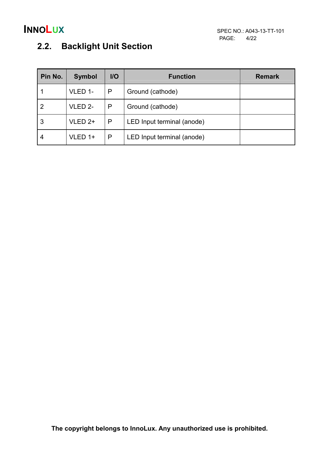## 2.2. Backlight Unit Section

| Pin No.        | <b>Symbol</b> | $II$ | <b>Function</b>            | <b>Remark</b> |
|----------------|---------------|------|----------------------------|---------------|
|                | VLED 1-       | P    | Ground (cathode)           |               |
| $\overline{2}$ | VLED 2-       | P    | Ground (cathode)           |               |
| 3              | $VLED 2+$     | P    | LED Input terminal (anode) |               |
| 4              | $VLED 1+$     | P    | LED Input terminal (anode) |               |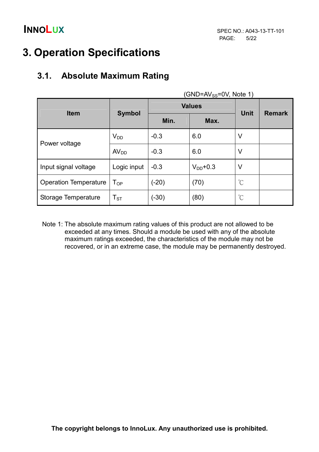# 3. Operation Specifications

## 3.1. Absolute Maximum Rating

| <b>Item</b>                  |                            |         | <b>Values</b> | <b>Unit</b>          | <b>Remark</b> |
|------------------------------|----------------------------|---------|---------------|----------------------|---------------|
|                              | <b>Symbol</b>              | Min.    | Max.          |                      |               |
| Power voltage                | $V_{DD}$                   | $-0.3$  | 6.0           | V                    |               |
|                              | AV <sub>DD</sub>           | $-0.3$  | 6.0           | V                    |               |
| Input signal voltage         | Logic input                | $-0.3$  | $V_{DD}$ +0.3 | V                    |               |
| <b>Operation Temperature</b> | $\mathsf{T}_{\mathsf{OP}}$ | $(-20)$ | (70)          | $\mathrm{C}^{\circ}$ |               |
| Storage Temperature          | $T_{ST}$                   | $(-30)$ | (80)          | $\mathrm{C}^{\circ}$ |               |

 $(CND=N/50)(Nots 1)$ 

Note 1: The absolute maximum rating values of this product are not allowed to be exceeded at any times. Should a module be used with any of the absolute maximum ratings exceeded, the characteristics of the module may not be recovered, or in an extreme case, the module may be permanently destroyed.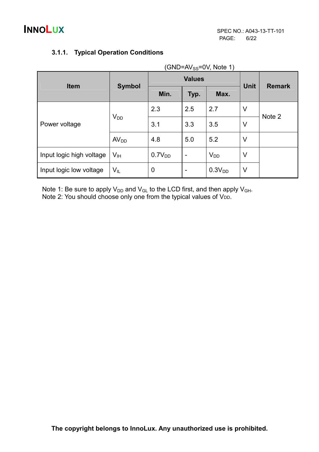|                          | $(GND=AV_{SS}=OV, Note 1)$ |             |                          |                    |               |        |  |  |  |  |
|--------------------------|----------------------------|-------------|--------------------------|--------------------|---------------|--------|--|--|--|--|
| <b>Item</b>              |                            |             | <b>Values</b>            | <b>Unit</b>        | <b>Remark</b> |        |  |  |  |  |
|                          | <b>Symbol</b>              | Min.        | Typ.                     | Max.               |               |        |  |  |  |  |
|                          |                            | 2.3         | 2.5                      | 2.7                | V             | Note 2 |  |  |  |  |
| Power voltage            | $V_{DD}$                   | 3.1         | 3.3                      | 3.5                | V             |        |  |  |  |  |
|                          | AV <sub>DD</sub>           | 4.8         | 5.0                      | 5.2                | V             |        |  |  |  |  |
| Input logic high voltage | $V_{\text{IH}}$            | $0.7V_{DD}$ | $\overline{\phantom{a}}$ | $V_{DD}$           | V             |        |  |  |  |  |
| Input logic low voltage  | $V_{IL}$                   | 0           | $\overline{\phantom{0}}$ | 0.3V <sub>DD</sub> | V             |        |  |  |  |  |

### 3.1.1. Typical Operation Conditions

Note 1: Be sure to apply  $V_{DD}$  and  $V_{GL}$  to the LCD first, and then apply  $V_{GH}$ . Note 2: You should choose only one from the typical values of VDD.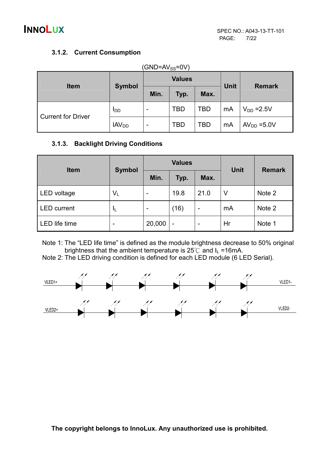### 3.1.2. Current Consumption

| $(GND=AV_{SS}=OV)$        |                   |                          |            |      |    |                 |               |
|---------------------------|-------------------|--------------------------|------------|------|----|-----------------|---------------|
| <b>Item</b>               | <b>Symbol</b>     | <b>Values</b>            |            |      |    | <b>Unit</b>     | <b>Remark</b> |
|                           |                   | Min.                     | Typ.       | Max. |    |                 |               |
| <b>Current for Driver</b> | <b>I</b> DD       | $\overline{\phantom{a}}$ | <b>TBD</b> | TBD  | mA | $V_{DD} = 2.5V$ |               |
|                           | IAV <sub>DD</sub> | -                        | <b>TBD</b> | TBD  | mA | $AVDD = 5.0V$   |               |

### 3.1.3. Backlight Driving Conditions

| <b>Item</b>        |               |        | <b>Values</b> |      | <b>Unit</b> | <b>Remark</b> |  |
|--------------------|---------------|--------|---------------|------|-------------|---------------|--|
|                    | <b>Symbol</b> | Min.   | Typ.          | Max. |             |               |  |
| LED voltage        | $V_L$         | -      | 19.8          | 21.0 | V           | Note 2        |  |
| <b>LED</b> current | ΙL            |        | (16)          | -    | mA          | Note 2        |  |
| LED life time      | -             | 20,000 | -             | -    | Hr          | Note 1        |  |

Note 1: The "LED life time" is defined as the module brightness decrease to 50% original brightness that the ambient temperature is  $25^{\circ}$  and  $I_L = 16$  mA.

Note 2: The LED driving condition is defined for each LED module (6 LED Serial).

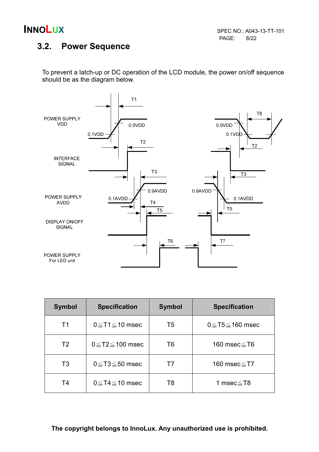

### 3.2. Power Sequence

To prevent a latch-up or DC operation of the LCD module, the power on/off sequence should be as the diagram below.



| <b>Symbol</b>  | <b>Specification</b>      | <b>Symbol</b>  | <b>Specification</b>        |
|----------------|---------------------------|----------------|-----------------------------|
| T1             | $0 \leq T1 \leq 10$ msec  | T <sub>5</sub> | $0 \leq$ T5 $\leq$ 160 msec |
| T <sub>2</sub> | $0 \leq T2 \leq 100$ msec | T6             | 160 msec $\leq$ T6          |
| T <sub>3</sub> | $0 \leq T3 \leq 50$ msec  | Τ7             | 160 msec≦T7                 |
| T <sub>4</sub> | $0 \leq T4 \leq 10$ msec  | T8             | 1 msec≦T8                   |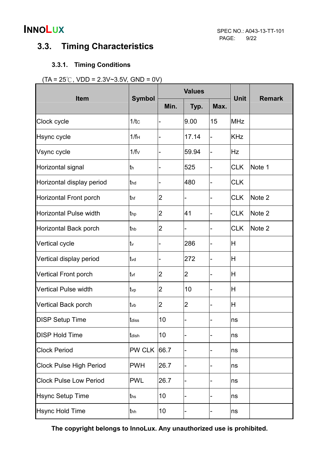## 3.3. Timing Characteristics

### 3.3.1. Timing Conditions

### $(TA = 25^{\circ}$ C, VDD = 2.3V~3.5V, GND = 0V)

|                                |                  | <b>Values</b>            |                |      | <b>Unit</b> | <b>Remark</b> |
|--------------------------------|------------------|--------------------------|----------------|------|-------------|---------------|
| <b>Item</b>                    | <b>Symbol</b>    | Min.                     | Typ.           | Max. |             |               |
| Clock cycle                    | 1/tc             |                          | 9.00           | 15   | <b>MHz</b>  |               |
| Hsync cycle                    | 1/f <sub>H</sub> |                          | 17.14          |      | <b>KHz</b>  |               |
| Vsync cycle                    | 1/fv             |                          | 59.94          |      | <b>Hz</b>   |               |
| Horizontal signal              | lth.             |                          | 525            |      | <b>CLK</b>  | Note 1        |
| Horizontal display period      | thd              | $\overline{\phantom{0}}$ | 480            |      | <b>CLK</b>  |               |
| <b>Horizontal Front porch</b>  | thf              | 2                        |                |      | <b>CLK</b>  | Note 2        |
| <b>Horizontal Pulse width</b>  | thp              | $\overline{2}$           | 41             |      | <b>CLK</b>  | Note 2        |
| <b>Horizontal Back porch</b>   | thb              | $\overline{2}$           |                |      | <b>CLK</b>  | Note 2        |
| Vertical cycle                 | tv               |                          | 286            |      | H           |               |
| Vertical display period        | tvd              |                          | 272            |      | H           |               |
| <b>Vertical Front porch</b>    | tvf              | $\overline{2}$           | $\overline{2}$ |      | H           |               |
| <b>Vertical Pulse width</b>    | tvp              | 2                        | 10             |      | H           |               |
| Vertical Back porch            | tvb              | 2                        | $\overline{2}$ |      | H           |               |
| <b>DISP Setup Time</b>         | tdiss            | 10                       |                |      | ns          |               |
| <b>DISP Hold Time</b>          | tdish            | 10                       |                |      | ns          |               |
| <b>Clock Period</b>            | <b>PW CLK</b>    | 66.7                     |                |      | ns          |               |
| <b>Clock Pulse High Period</b> | <b>PWH</b>       | 26.7                     |                |      | ns          |               |
| <b>Clock Pulse Low Period</b>  | <b>PWL</b>       | 26.7                     |                |      | ns          |               |
| <b>Hsync Setup Time</b>        | ths              | 10                       |                |      | ns          |               |
| <b>Hsync Hold Time</b>         | thh              | 10                       |                |      | ns          |               |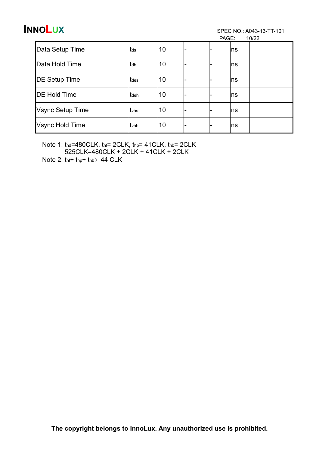PAGE: 10/22

|                         |              |    | . |    | $\cdots$ |
|-------------------------|--------------|----|---|----|----------|
| Data Setup Time         | Itds         | 10 |   | ns |          |
| Data Hold Time          | tdh          | 10 |   | ns |          |
| <b>DE Setup Time</b>    | <b>t</b> des | 10 |   | ns |          |
| <b>DE Hold Time</b>     | <b>t</b> deh | 10 |   | ns |          |
| <b>Vsync Setup Time</b> | tvhs         | 10 |   | ns |          |
| Vsync Hold Time         | <b>t</b> vhh | 10 |   | ns |          |

Note 1: thd=480CLK, thf= 2CLK, thp= 41CLK, thb= 2CLK 525CLK=480CLK + 2CLK + 41CLK + 2CLK

Note 2:  $tnf + tnp + thb$  44 CLK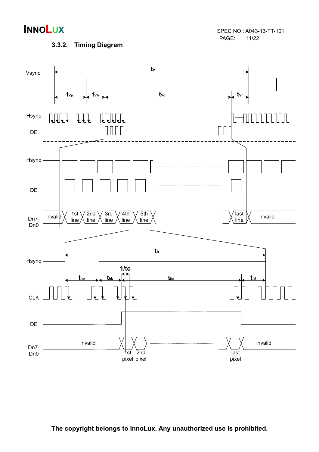

### 3.3.2. Timing Diagram

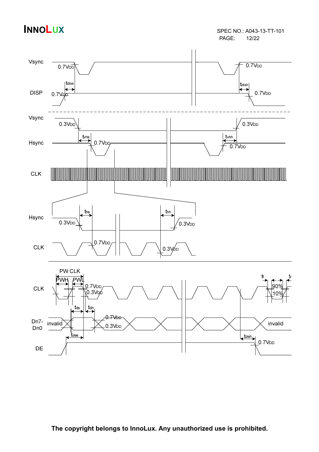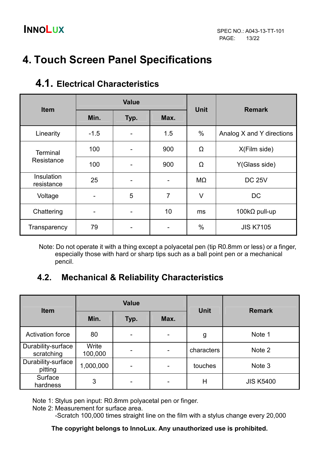# 4. Touch Screen Panel Specifications

| <b>Item</b>              |                      | <b>Value</b> |     | <b>Unit</b> | <b>Remark</b>             |
|--------------------------|----------------------|--------------|-----|-------------|---------------------------|
|                          | Min.<br>Max.<br>Typ. |              |     |             |                           |
| Linearity                | $-1.5$               |              | 1.5 | $\%$        | Analog X and Y directions |
| <b>Terminal</b>          | 100                  |              | 900 | Ω           | X(Film side)              |
| Resistance               | 100                  |              | 900 | Ω           | Y(Glass side)             |
| Insulation<br>resistance | 25                   |              |     | MΩ          | <b>DC 25V</b>             |
| Voltage                  | ۰                    | 5            | 7   | $\vee$      | <b>DC</b>                 |
| Chattering               | -                    |              | 10  | ms          | 100k $\Omega$ pull-up     |
| Transparency             | 79                   |              |     | %           | <b>JIS K7105</b>          |

## 4.1. Electrical Characteristics

Note: Do not operate it with a thing except a polyacetal pen (tip R0.8mm or less) or a finger, especially those with hard or sharp tips such as a ball point pen or a mechanical pencil.

### 4.2. Mechanical & Reliability Characteristics

| <b>Item</b>                      |                  | <b>Value</b> |      |             | <b>Remark</b>    |  |
|----------------------------------|------------------|--------------|------|-------------|------------------|--|
|                                  | Min.             | Typ.         | Max. | <b>Unit</b> |                  |  |
| <b>Activation force</b>          | 80               |              |      | g           | Note 1           |  |
| Durability-surface<br>scratching | Write<br>100,000 |              | -    | characters  | Note 2           |  |
| Durability-surface<br>pitting    | 1,000,000        |              |      | touches     | Note 3           |  |
| Surface<br>hardness              | 3                |              |      | Н           | <b>JIS K5400</b> |  |

Note 1: Stylus pen input: R0.8mm polyacetal pen or finger.

Note 2: Measurement for surface area.

-Scratch 100,000 times straight line on the film with a stylus change every 20,000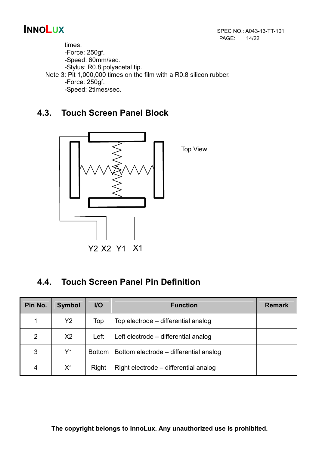times. -Force: 250gf. -Speed: 60mm/sec. -Stylus: R0.8 polyacetal tip. Note 3: Pit 1,000,000 times on the film with a R0.8 silicon rubber. -Force: 250gf. -Speed: 2times/sec.

### 4.3. Touch Screen Panel Block



### 4.4. Touch Screen Panel Pin Definition

| Pin No.        | <b>Symbol</b>  | $II$          | <b>Function</b>                        | <b>Remark</b> |
|----------------|----------------|---------------|----------------------------------------|---------------|
| 1              | Y2             | Top           | Top electrode – differential analog    |               |
| $\overline{2}$ | X <sub>2</sub> | Left          | Left electrode – differential analog   |               |
| 3              | Y1             | <b>Bottom</b> | Bottom electrode – differential analog |               |
| 4              | X <sub>1</sub> | Right         | Right electrode – differential analog  |               |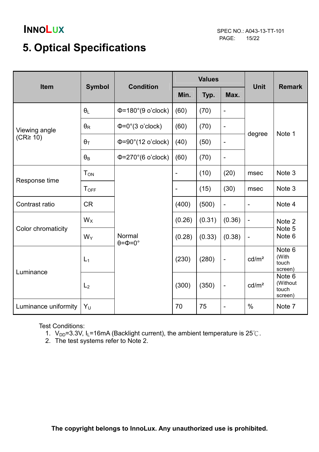# 5. Optical Specifications

| Item                 |                       | <b>Condition</b>                       |                              | <b>Values</b> |                          | <b>Unit</b>              |                                                   |
|----------------------|-----------------------|----------------------------------------|------------------------------|---------------|--------------------------|--------------------------|---------------------------------------------------|
|                      | <b>Symbol</b>         |                                        | Min.                         | Typ.          | Max.                     |                          | <b>Remark</b>                                     |
|                      | $\theta_L$            | $\Phi$ =180°(9 o'clock)                | (60)                         | (70)          | $\overline{\phantom{0}}$ |                          |                                                   |
| Viewing angle        | $\theta_{\mathsf{R}}$ | $\Phi = 0^\circ (3 \text{ o'clock})$   | (60)                         | (70)          | -                        | degree                   | Note 1                                            |
| (CR <sup>2</sup> 10) | $\theta_T$            | $\Phi = 90^\circ (12 \text{ o'clock})$ | (40)                         | (50)          | $\overline{\phantom{0}}$ |                          |                                                   |
|                      | $\theta_{\mathsf{B}}$ | $\Phi$ =270°(6 o'clock)                | (60)                         | (70)          | $\overline{a}$           |                          |                                                   |
|                      | $T_{ON}$              |                                        | $\overline{\phantom{a}}$     | (10)          | (20)                     | msec                     | Note 3                                            |
| Response time        | $T_{OFF}$             |                                        | $\qquad \qquad \blacksquare$ | (15)          | (30)                     | msec                     | Note 3                                            |
| Contrast ratio       | <b>CR</b>             |                                        | (400)                        | (500)         | $\overline{\phantom{0}}$ | $\overline{a}$           | Note 4                                            |
|                      | $W_X$                 |                                        | (0.26)                       | (0.31)        | (0.36)                   | $\overline{\phantom{a}}$ | Note 2                                            |
| Color chromaticity   | $W_Y$                 | Normal<br>$\theta = \Phi = 0^{\circ}$  | (0.28)                       | (0.33)        | (0.38)                   | $\overline{\phantom{a}}$ | Note 5<br>Note <sub>6</sub>                       |
| Luminance            | $L_1$                 |                                        | (230)                        | (280)         | $\overline{\phantom{0}}$ | cd/m <sup>2</sup>        | Note 6<br>(With<br>touch<br>screen)               |
|                      | L <sub>2</sub>        |                                        | (300)                        | (350)         | $\qquad \qquad -$        | cd/m <sup>2</sup>        | Note <sub>6</sub><br>(Without<br>touch<br>screen) |
| Luminance uniformity | $Y_U$                 |                                        | 70                           | 75            | $\overline{\phantom{0}}$ | $\frac{0}{0}$            | Note 7                                            |

Test Conditions:

- 1.  $V_{DD}$ =3.3V, I<sub>L</sub>=16mA (Backlight current), the ambient temperature is 25°C.
- 2. The test systems refer to Note 2.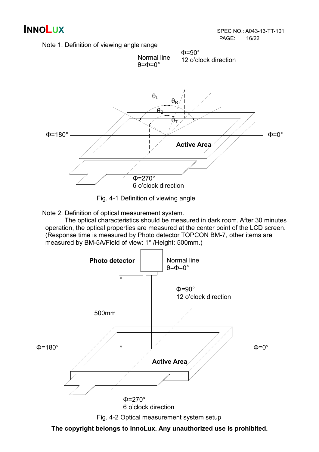



Fig. 4-1 Definition of viewing angle

Note 2: Definition of optical measurement system.

 The optical characteristics should be measured in dark room. After 30 minutes operation, the optical properties are measured at the center point of the LCD screen. (Response time is measured by Photo detector TOPCON BM-7, other items are measured by BM-5A/Field of view: 1° /Height: 500mm.)



Fig. 4-2 Optical measurement system setup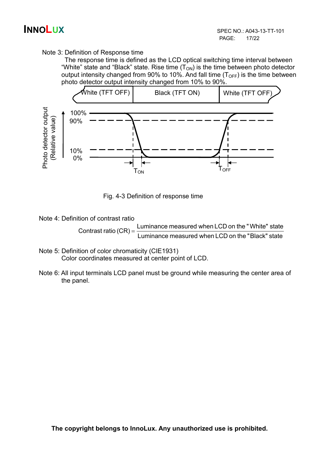### Note 3: Definition of Response time

 The response time is defined as the LCD optical switching time interval between "White" state and "Black" state. Rise time  $(T_{ON})$  is the time between photo detector output intensity changed from 90% to 10%. And fall time  $(T<sub>OFF</sub>)$  is the time between photo detector output intensity changed from 10% to 90%.



Fig. 4-3 Definition of response time

Note 4: Definition of contrast ratio

Contrast ratio  $(CR) = \frac{E}{L}$  Luminance measured when LCD on the "Black" state Luminance measured when LCD on the "White" state

- Note 5: Definition of color chromaticity (CIE1931) Color coordinates measured at center point of LCD.
- Note 6: All input terminals LCD panel must be ground while measuring the center area of the panel.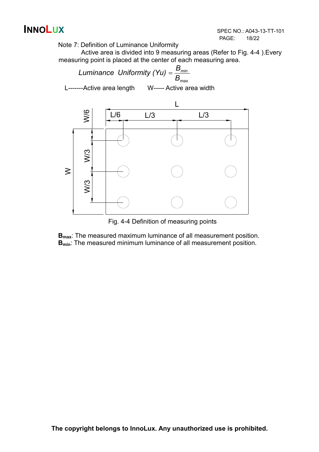

Note 7: Definition of Luminance Uniformity

Active area is divided into 9 measuring areas (Refer to Fig. 4-4 ).Every measuring point is placed at the center of each measuring area.



Fig. 4-4 Definition of measuring points

**B**<sub>max</sub>: The measured maximum luminance of all measurement position. **B**<sub>min</sub>: The measured minimum luminance of all measurement position.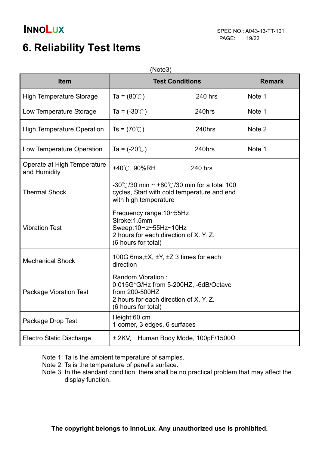# 6. Reliability Test Items

|                                             | (Note3)                                                                                                                            |                                                                                                 |        |
|---------------------------------------------|------------------------------------------------------------------------------------------------------------------------------------|-------------------------------------------------------------------------------------------------|--------|
| <b>Item</b>                                 | <b>Test Conditions</b>                                                                                                             | <b>Remark</b>                                                                                   |        |
| <b>High Temperature Storage</b>             | Ta = $(80^{\circ}$ C)                                                                                                              | 240 hrs                                                                                         | Note 1 |
| Low Temperature Storage                     | Ta = $(-30^{\circ}$ C)                                                                                                             | 240hrs                                                                                          | Note 1 |
| <b>High Temperature Operation</b>           | Ts = $(70^{\circ}$ C)                                                                                                              | 240hrs                                                                                          | Note 2 |
| Low Temperature Operation                   | Ta = $(-20^{\circ}C)$                                                                                                              | 240hrs                                                                                          | Note 1 |
| Operate at High Temperature<br>and Humidity | +40℃, 90%RH                                                                                                                        | 240 hrs                                                                                         |        |
| <b>Thermal Shock</b>                        | with high temperature                                                                                                              | -30°C/30 min $\sim$ +80°C/30 min for a total 100<br>cycles, Start with cold temperature and end |        |
| <b>Vibration Test</b>                       | Frequency range: 10~55Hz<br>Stroke: 1.5mm<br>Sweep:10Hz~55Hz~10Hz<br>2 hours for each direction of X. Y. Z.<br>(6 hours for total) |                                                                                                 |        |
| <b>Mechanical Shock</b>                     | direction                                                                                                                          | 100G 6ms, $\pm X$ , $\pm Y$ , $\pm Z$ 3 times for each                                          |        |
| <b>Package Vibration Test</b>               | Random Vibration:<br>from 200-500HZ<br>2 hours for each direction of X. Y. Z.<br>(6 hours for total)                               | 0.015G*G/Hz from 5-200HZ, -6dB/Octave                                                           |        |
| Package Drop Test                           | Height:60 cm<br>1 corner, 3 edges, 6 surfaces                                                                                      |                                                                                                 |        |
| <b>Electro Static Discharge</b>             |                                                                                                                                    | $\pm$ 2KV, Human Body Mode, 100pF/1500 $\Omega$                                                 |        |

Note 1: Ta is the ambient temperature of samples.

- Note 2: Ts is the temperature of panel's surface.
- Note 3: In the standard condition, there shall be no practical problem that may affect the display function.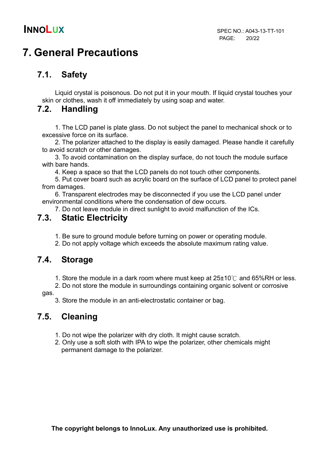# 7. General Precautions

### 7.1. Safety

Liquid crystal is poisonous. Do not put it in your mouth. If liquid crystal touches your skin or clothes, wash it off immediately by using soap and water.

### 7.2. Handling

1. The LCD panel is plate glass. Do not subject the panel to mechanical shock or to excessive force on its surface.

2. The polarizer attached to the display is easily damaged. Please handle it carefully to avoid scratch or other damages.

3. To avoid contamination on the display surface, do not touch the module surface with bare hands.

4. Keep a space so that the LCD panels do not touch other components.

5. Put cover board such as acrylic board on the surface of LCD panel to protect panel from damages.

6. Transparent electrodes may be disconnected if you use the LCD panel under environmental conditions where the condensation of dew occurs.

7. Do not leave module in direct sunlight to avoid malfunction of the ICs.

### 7.3. Static Electricity

1. Be sure to ground module before turning on power or operating module.

2. Do not apply voltage which exceeds the absolute maximum rating value.

### 7.4. Storage

1. Store the module in a dark room where must keep at  $25\pm10^{\circ}$  and 65%RH or less.

 2. Do not store the module in surroundings containing organic solvent or corrosive gas.

3. Store the module in an anti-electrostatic container or bag.

### 7.5. Cleaning

- 1. Do not wipe the polarizer with dry cloth. It might cause scratch.
- 2. Only use a soft sloth with IPA to wipe the polarizer, other chemicals might permanent damage to the polarizer.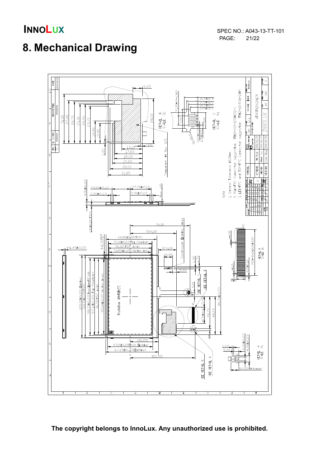# 8. Mechanical Drawing